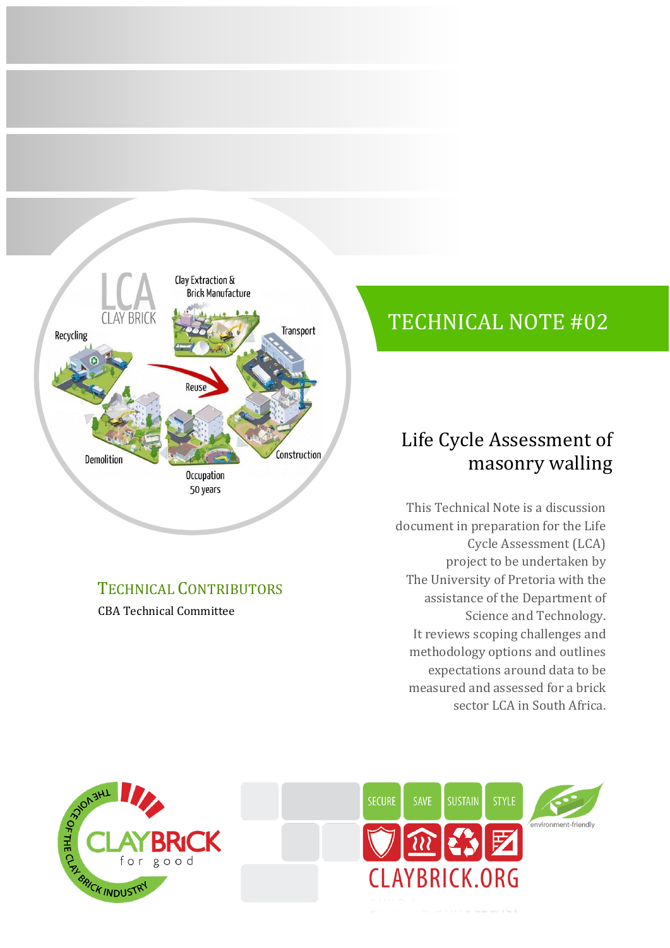

# TECHNICAL CONTRIBUTORS

CBA Technical Committee

# TECHNICAL NOTE #02

# Life Cycle Assessment of masonry walling

This Technical Note is a discussion document in preparation for the Life Cycle Assessment (LCA) project to be undertaken by The University of Pretoria with the assistance of the Department of Science and Technology. It reviews scoping challenges and methodology options and outlines expectations around data to be measured and assessed for a brick sector LCA in South Africa.



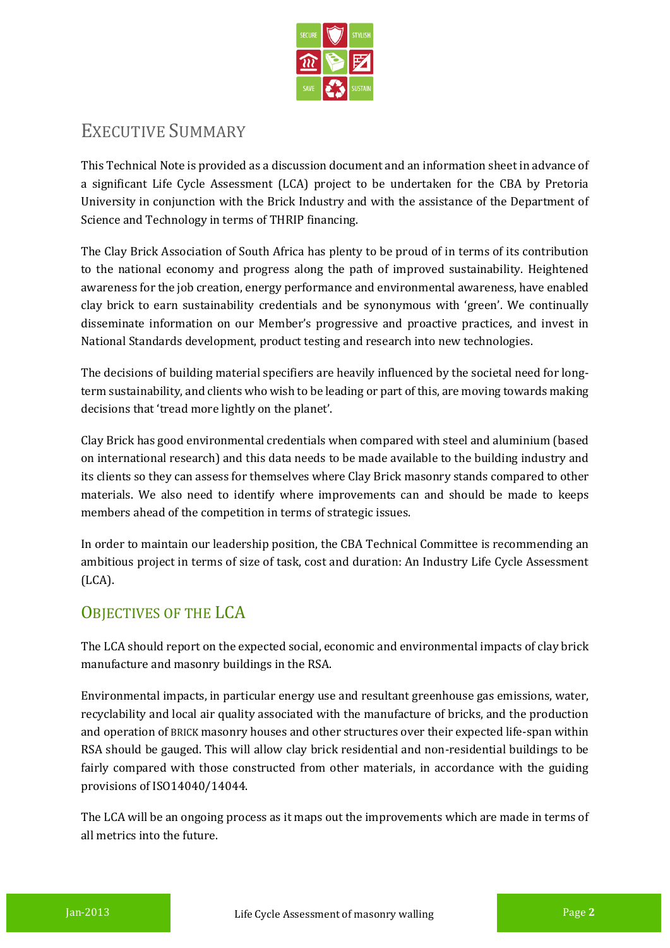

# EXECUTIVE SUMMARY

This Technical Note is provided as a discussion document and an information sheet in advance of a significant Life Cycle Assessment (LCA) project to be undertaken for the CBA by Pretoria University in conjunction with the Brick Industry and with the assistance of the Department of Science and Technology in terms of THRIP financing.

The Clay Brick Association of South Africa has plenty to be proud of in terms of its contribution to the national economy and progress along the path of improved sustainability. Heightened awareness for the job creation, energy performance and environmental awareness, have enabled clay brick to earn sustainability credentials and be synonymous with 'green'. We continually disseminate information on our Member's progressive and proactive practices, and invest in National Standards development, product testing and research into new technologies.

The decisions of building material specifiers are heavily influenced by the societal need for longterm sustainability, and clients who wish to be leading or part of this, are moving towards making decisions that 'tread more lightly on the planet'.

Clay Brick has good environmental credentials when compared with steel and aluminium (based on international research) and this data needs to be made available to the building industry and its clients so they can assess for themselves where Clay Brick masonry stands compared to other materials. We also need to identify where improvements can and should be made to keeps members ahead of the competition in terms of strategic issues.

In order to maintain our leadership position, the CBA Technical Committee is recommending an ambitious project in terms of size of task, cost and duration: An Industry Life Cycle Assessment (LCA).

## OBJECTIVES OF THE LCA

The LCA should report on the expected social, economic and environmental impacts of clay brick manufacture and masonry buildings in the RSA.

Environmental impacts, in particular energy use and resultant greenhouse gas emissions, water, recyclability and local air quality associated with the manufacture of bricks, and the production and operation of BRICK masonry houses and other structures over their expected life-span within RSA should be gauged. This will allow clay brick residential and non-residential buildings to be fairly compared with those constructed from other materials, in accordance with the guiding provisions of ISO14040/14044.

The LCA will be an ongoing process as it maps out the improvements which are made in terms of all metrics into the future.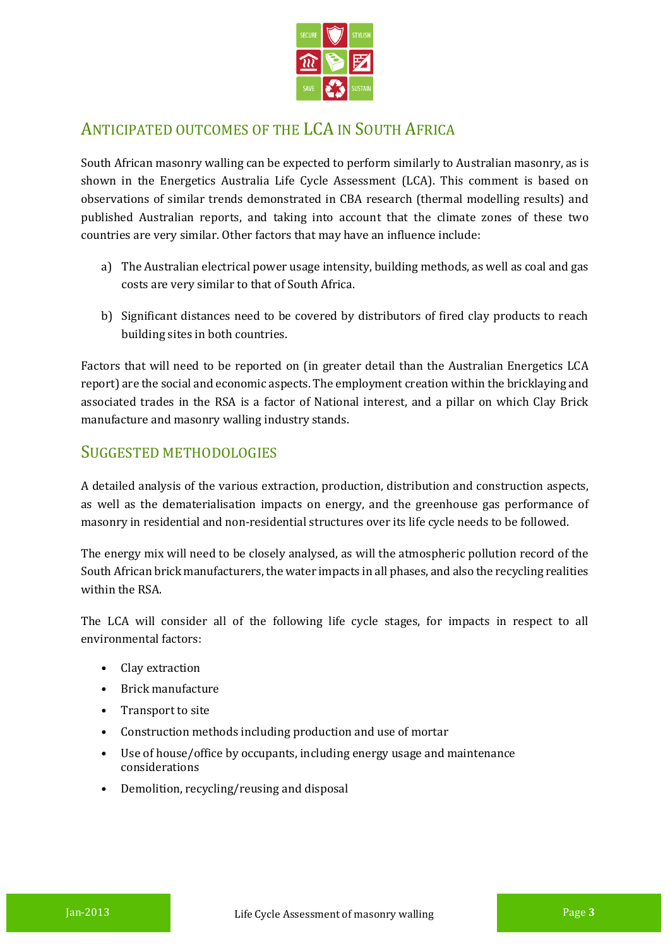

### ANTICIPATED OUTCOMES OF THE LCA IN SOUTH AFRICA

South African masonry walling can be expected to perform similarly to Australian masonry, as is shown in the Energetics Australia Life Cycle Assessment (LCA). This comment is based on observations of similar trends demonstrated in CBA research (thermal modelling results) and published Australian reports, and taking into account that the climate zones of these two countries are very similar. Other factors that may have an influence include:

- a) The Australian electrical power usage intensity, building methods, as well as coal and gas costs are very similar to that of South Africa.
- b) Significant distances need to be covered by distributors of fired clay products to reach building sites in both countries.

Factors that will need to be reported on (in greater detail than the Australian Energetics LCA report) are the social and economic aspects. The employment creation within the bricklaying and associated trades in the RSA is a factor of National interest, and a pillar on which Clay Brick manufacture and masonry walling industry stands.

### SUGGESTED METHODOLOGIES

A detailed analysis of the various extraction, production, distribution and construction aspects, as well as the dematerialisation impacts on energy, and the greenhouse gas performance of masonry in residential and non-residential structures over its life cycle needs to be followed.

The energy mix will need to be closely analysed, as will the atmospheric pollution record of the South African brick manufacturers, the water impacts in all phases, and also the recycling realities within the RSA.

The LCA will consider all of the following life cycle stages, for impacts in respect to all environmental factors:

- Clay extraction
- Brick manufacture
- Transport to site
- Construction methods including production and use of mortar
- Use of house/office by occupants, including energy usage and maintenance considerations
- Demolition, recycling/reusing and disposal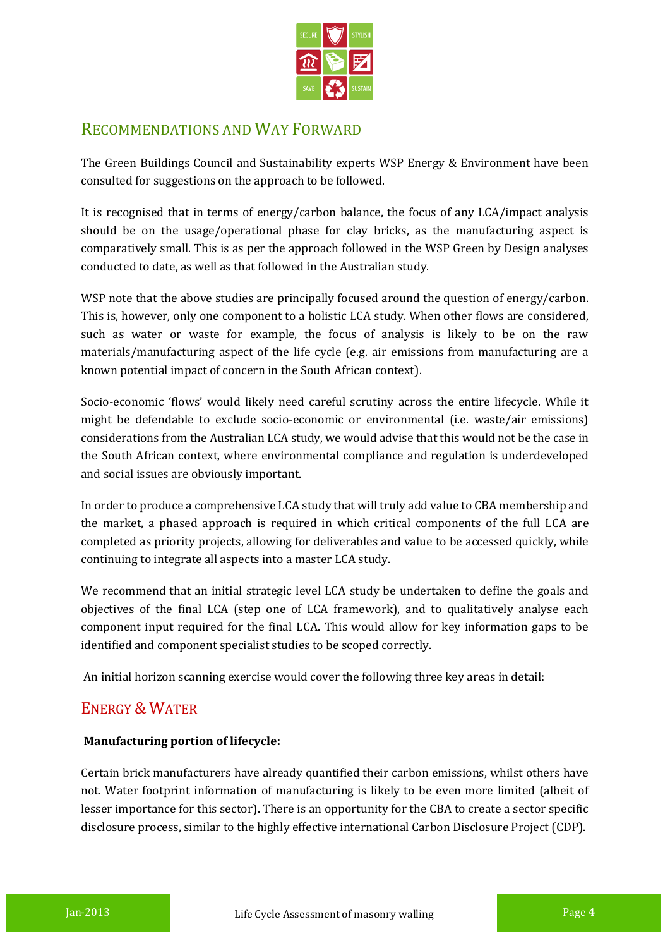

### RECOMMENDATIONS AND WAY FORWARD

The Green Buildings Council and Sustainability experts WSP Energy & Environment have been consulted for suggestions on the approach to be followed.

It is recognised that in terms of energy/carbon balance, the focus of any LCA/impact analysis should be on the usage/operational phase for clay bricks, as the manufacturing aspect is comparatively small. This is as per the approach followed in the WSP Green by Design analyses conducted to date, as well as that followed in the Australian study.

WSP note that the above studies are principally focused around the question of energy/carbon. This is, however, only one component to a holistic LCA study. When other flows are considered, such as water or waste for example, the focus of analysis is likely to be on the raw materials/manufacturing aspect of the life cycle (e.g. air emissions from manufacturing are a known potential impact of concern in the South African context).

Socio-economic 'flows' would likely need careful scrutiny across the entire lifecycle. While it might be defendable to exclude socio-economic or environmental (i.e. waste/air emissions) considerations from the Australian LCA study, we would advise that this would not be the case in the South African context, where environmental compliance and regulation is underdeveloped and social issues are obviously important.

In order to produce a comprehensive LCA study that will truly add value to CBA membership and the market, a phased approach is required in which critical components of the full LCA are completed as priority projects, allowing for deliverables and value to be accessed quickly, while continuing to integrate all aspects into a master LCA study.

We recommend that an initial strategic level LCA study be undertaken to define the goals and objectives of the final LCA (step one of LCA framework), and to qualitatively analyse each component input required for the final LCA. This would allow for key information gaps to be identified and component specialist studies to be scoped correctly.

An initial horizon scanning exercise would cover the following three key areas in detail:

### ENERGY & WATER

#### **Manufacturing portion of lifecycle:**

Certain brick manufacturers have already quantified their carbon emissions, whilst others have not. Water footprint information of manufacturing is likely to be even more limited (albeit of lesser importance for this sector). There is an opportunity for the CBA to create a sector specific disclosure process, similar to the highly effective international Carbon Disclosure Project (CDP).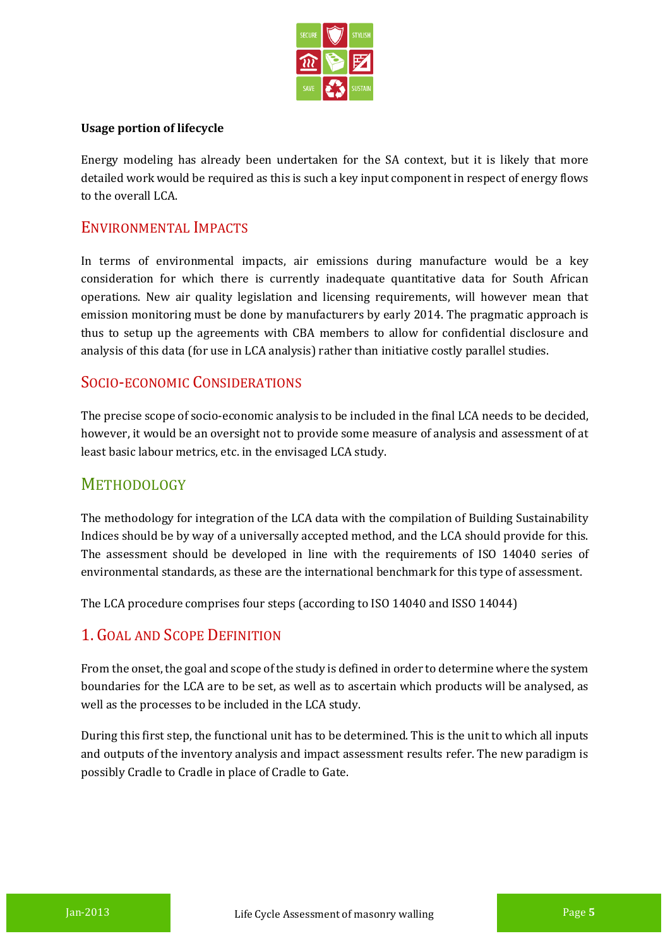

#### **Usage portion of lifecycle**

Energy modeling has already been undertaken for the SA context, but it is likely that more detailed work would be required as this is such a key input component in respect of energy flows to the overall LCA.

### ENVIRONMENTAL IMPACTS

In terms of environmental impacts, air emissions during manufacture would be a key consideration for which there is currently inadequate quantitative data for South African operations. New air quality legislation and licensing requirements, will however mean that emission monitoring must be done by manufacturers by early 2014. The pragmatic approach is thus to setup up the agreements with CBA members to allow for confidential disclosure and analysis of this data (for use in LCA analysis) rather than initiative costly parallel studies.

### SOCIO-ECONOMIC CONSIDERATIONS

The precise scope of socio-economic analysis to be included in the final LCA needs to be decided, however, it would be an oversight not to provide some measure of analysis and assessment of at least basic labour metrics, etc. in the envisaged LCA study.

### **METHODOLOGY**

The methodology for integration of the LCA data with the compilation of Building Sustainability Indices should be by way of a universally accepted method, and the LCA should provide for this. The assessment should be developed in line with the requirements of ISO 14040 series of environmental standards, as these are the international benchmark for this type of assessment.

The LCA procedure comprises four steps (according to ISO 14040 and ISSO 14044)

### 1. GOAL AND SCOPE DEFINITION

From the onset, the goal and scope of the study is defined in order to determine where the system boundaries for the LCA are to be set, as well as to ascertain which products will be analysed, as well as the processes to be included in the LCA study.

During this first step, the functional unit has to be determined. This is the unit to which all inputs and outputs of the inventory analysis and impact assessment results refer. The new paradigm is possibly Cradle to Cradle in place of Cradle to Gate.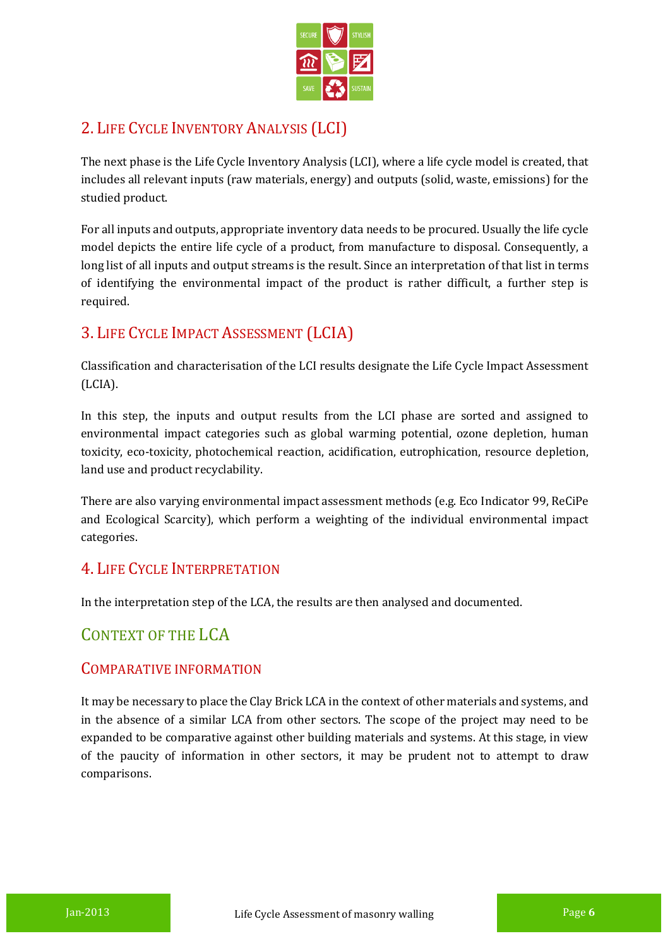

## 2. LIFE CYCLE INVENTORY ANALYSIS (LCI)

The next phase is the Life Cycle Inventory Analysis (LCI), where a life cycle model is created, that includes all relevant inputs (raw materials, energy) and outputs (solid, waste, emissions) for the studied product.

For all inputs and outputs, appropriate inventory data needs to be procured. Usually the life cycle model depicts the entire life cycle of a product, from manufacture to disposal. Consequently, a long list of all inputs and output streams is the result. Since an interpretation of that list in terms of identifying the environmental impact of the product is rather difficult, a further step is required.

### 3. LIFE CYCLE IMPACT ASSESSMENT (LCIA)

Classification and characterisation of the LCI results designate the Life Cycle Impact Assessment (LCIA).

In this step, the inputs and output results from the LCI phase are sorted and assigned to environmental impact categories such as global warming potential, ozone depletion, human toxicity, eco-toxicity, photochemical reaction, acidification, eutrophication, resource depletion, land use and product recyclability.

There are also varying environmental impact assessment methods (e.g. Eco Indicator 99, ReCiPe and Ecological Scarcity), which perform a weighting of the individual environmental impact categories.

### 4. LIFE CYCLE INTERPRETATION

In the interpretation step of the LCA, the results are then analysed and documented.

### CONTEXT OF THE LCA

### COMPARATIVE INFORMATION

It may be necessary to place the Clay Brick LCA in the context of other materials and systems, and in the absence of a similar LCA from other sectors. The scope of the project may need to be expanded to be comparative against other building materials and systems. At this stage, in view of the paucity of information in other sectors, it may be prudent not to attempt to draw comparisons.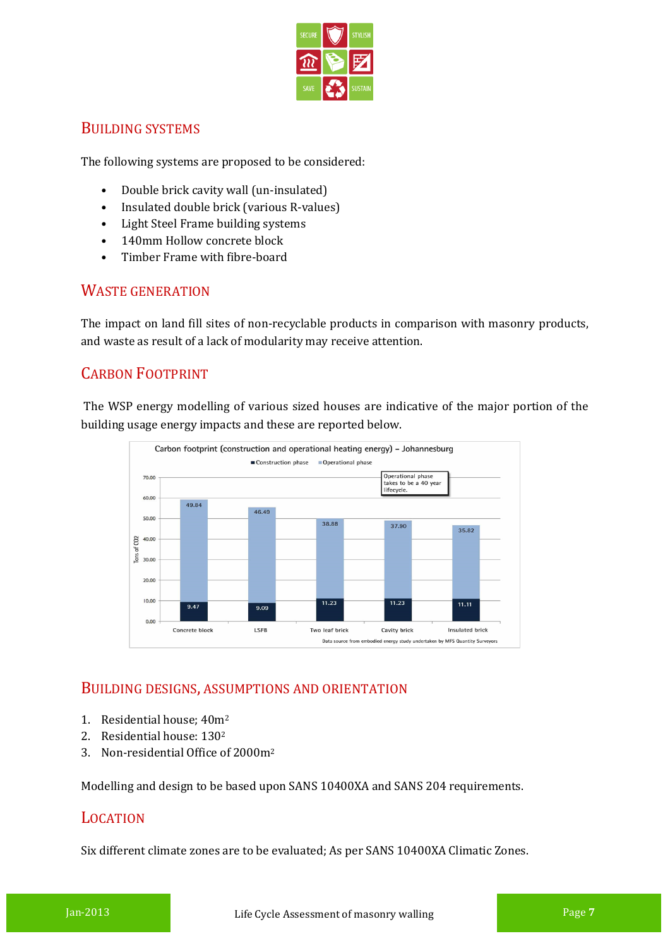

### BUILDING SYSTEMS

The following systems are proposed to be considered:

- Double brick cavity wall (un-insulated)
- Insulated double brick (various R-values)
- Light Steel Frame building systems
- 140mm Hollow concrete block
- Timber Frame with fibre-board

### WASTE GENERATION

The impact on land fill sites of non-recyclable products in comparison with masonry products, and waste as result of a lack of modularity may receive attention.

### CARBON FOOTPRINT

The WSP energy modelling of various sized houses are indicative of the major portion of the building usage energy impacts and these are reported below.



### BUILDING DESIGNS, ASSUMPTIONS AND ORIENTATION

- 1. Residential house; 40m<sup>2</sup>
- 2. Residential house: 130<sup>2</sup>
- 3. Non-residential Office of 2000m<sup>2</sup>

Modelling and design to be based upon SANS 10400XA and SANS 204 requirements.

### LOCATION

Six different climate zones are to be evaluated; As per SANS 10400XA Climatic Zones.